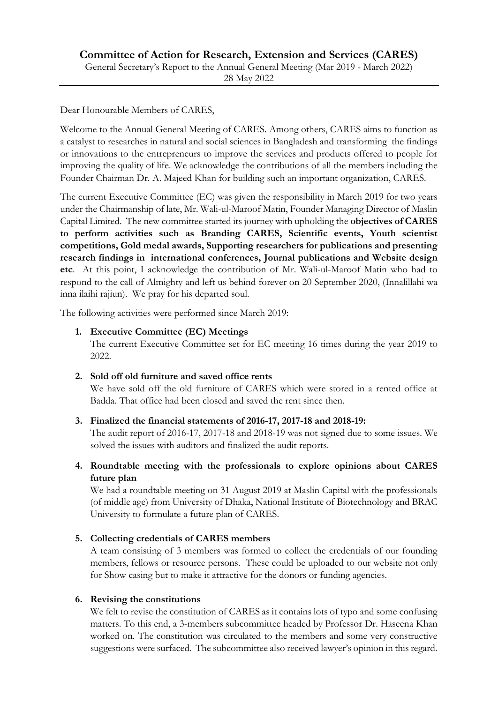Dear Honourable Members of CARES,

Welcome to the Annual General Meeting of CARES. Among others, CARES aims to function as a catalyst to researches in natural and social sciences in Bangladesh and transforming the findings or innovations to the entrepreneurs to improve the services and products offered to people for improving the quality of life. We acknowledge the contributions of all the members including the Founder Chairman Dr. A. Majeed Khan for building such an important organization, CARES.

The current Executive Committee (EC) was given the responsibility in March 2019 for two years under the Chairmanship of late, Mr. Wali-ul-Maroof Matin, Founder Managing Director of Maslin Capital Limited. The new committee started its journey with upholding the **objectives of CARES to perform activities such as Branding CARES, Scientific events, Youth scientist competitions, Gold medal awards, Supporting researchers for publications and presenting research findings in international conferences, Journal publications and Website design etc**. At this point, I acknowledge the contribution of Mr. Wali-ul-Maroof Matin who had to respond to the call of Almighty and left us behind forever on 20 September 2020, (Innalillahi wa inna ilaihi rajiun). We pray for his departed soul.

The following activities were performed since March 2019:

## **1. Executive Committee (EC) Meetings**

The current Executive Committee set for EC meeting 16 times during the year 2019 to 2022.

#### **2. Sold off old furniture and saved office rents**

We have sold off the old furniture of CARES which were stored in a rented office at Badda. That office had been closed and saved the rent since then.

#### **3. Finalized the financial statements of 2016-17, 2017-18 and 2018-19:**

The audit report of 2016-17, 2017-18 and 2018-19 was not signed due to some issues. We solved the issues with auditors and finalized the audit reports.

**4. Roundtable meeting with the professionals to explore opinions about CARES future plan**

We had a roundtable meeting on 31 August 2019 at Maslin Capital with the professionals (of middle age) from University of Dhaka, National Institute of Biotechnology and BRAC University to formulate a future plan of CARES.

# **5. Collecting credentials of CARES members**

A team consisting of 3 members was formed to collect the credentials of our founding members, fellows or resource persons. These could be uploaded to our website not only for Show casing but to make it attractive for the donors or funding agencies.

#### **6. Revising the constitutions**

We felt to revise the constitution of CARES as it contains lots of typo and some confusing matters. To this end, a 3-members subcommittee headed by Professor Dr. Haseena Khan worked on. The constitution was circulated to the members and some very constructive suggestions were surfaced. The subcommittee also received lawyer's opinion in this regard.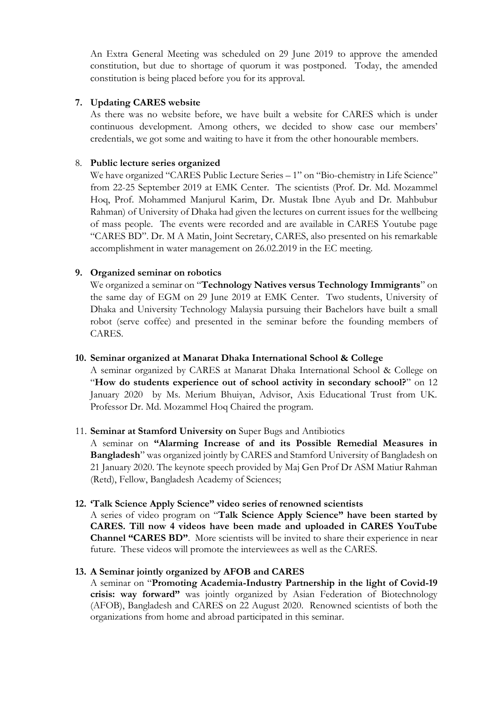An Extra General Meeting was scheduled on 29 June 2019 to approve the amended constitution, but due to shortage of quorum it was postponed. Today, the amended constitution is being placed before you for its approval.

### **7. Updating CARES website**

As there was no website before, we have built a website for CARES which is under continuous development. Among others, we decided to show case our members' credentials, we got some and waiting to have it from the other honourable members.

## 8. **Public lecture series organized**

We have organized "CARES Public Lecture Series – 1" on "Bio-chemistry in Life Science" from 22-25 September 2019 at EMK Center. The scientists (Prof. Dr. Md. Mozammel Hoq, Prof. Mohammed Manjurul Karim, Dr. Mustak Ibne Ayub and Dr. Mahbubur Rahman) of University of Dhaka had given the lectures on current issues for the wellbeing of mass people. The events were recorded and are available in CARES Youtube page "CARES BD". Dr. M A Matin, Joint Secretary, CARES, also presented on his remarkable accomplishment in water management on 26.02.2019 in the EC meeting.

## **9. Organized seminar on robotics**

We organized a seminar on "**Technology Natives versus Technology Immigrants**" on the same day of EGM on 29 June 2019 at EMK Center. Two students, University of Dhaka and University Technology Malaysia pursuing their Bachelors have built a small robot (serve coffee) and presented in the seminar before the founding members of CARES.

#### **10. Seminar organized at Manarat Dhaka International School & College**

A seminar organized by CARES at Manarat Dhaka International School & College on "**How do students experience out of school activity in secondary school?**" on 12 January 2020 by Ms. Merium Bhuiyan, Advisor, Axis Educational Trust from UK. Professor Dr. Md. Mozammel Hoq Chaired the program.

#### 11. **Seminar at Stamford University on** Super Bugs and Antibiotics

A seminar on **"Alarming Increase of and its Possible Remedial Measures in Bangladesh**" was organized jointly by CARES and Stamford University of Bangladesh on 21 January 2020. The keynote speech provided by Maj Gen Prof Dr ASM Matiur Rahman (Retd), Fellow, Bangladesh Academy of Sciences;

#### **12. 'Talk Science Apply Science" video series of renowned scientists**

A series of video program on "**Talk Science Apply Science" have been started by CARES. Till now 4 videos have been made and uploaded in CARES YouTube Channel "CARES BD"**. More scientists will be invited to share their experience in near future. These videos will promote the interviewees as well as the CARES.

# **13. A Seminar jointly organized by AFOB and CARES**

A seminar on "**Promoting Academia-Industry Partnership in the light of Covid-19 crisis: way forward"** was jointly organized by Asian Federation of Biotechnology (AFOB), Bangladesh and CARES on 22 August 2020. Renowned scientists of both the organizations from home and abroad participated in this seminar.